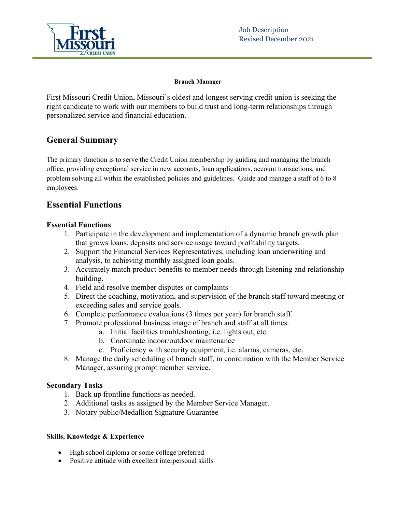

### **Branch Manager**

First Missouri Credit Union, Missouri's oldest and longest serving credit union is seeking the right candidate to work with our members to build trust and long-term relationships through personalized service and financial education.

# **General Summary**

The primary function is to serve the Credit Union membership by guiding and managing the branch office, providing exceptional service in new accounts, loan applications, account transactions, and problem solving all within the established policies and guidelines. Guide and manage a staff of 6 to 8 employees.

# **Essential Functions**

# **Essential Functions**

- 1. Participate in the development and implementation of a dynamic branch growth plan that grows loans, deposits and service usage toward profitability targets.
- 2. Support the Financial Services Representatives, including loan underwriting and analysis, to achieving monthly assigned loan goals.
- 3. Accurately match product benefits to member needs through listening and relationship building.
- 4. Field and resolve member disputes or complaints
- 5. Direct the coaching, motivation, and supervision of the branch staff toward meeting or exceeding sales and service goals.
- 6. Complete performance evaluations (3 times per year) for branch staff.
- 7. Promote professional business image of branch and staff at all times.
	- a. Initial facilities troubleshooting, i.e. lights out, etc.
	- b. Coordinate indoor/outdoor maintenance
	- c. Proficiency with security equipment, i.e. alarms, cameras, etc.
- 8. Manage the daily scheduling of branch staff, in coordination with the Member Service Manager, assuring prompt member service.

## **Secondary Tasks**

- 1. Back up frontline functions as needed.
- 2. Additional tasks as assigned by the Member Service Manager.
- 3. Notary public/Medallion Signature Guarantee

## **Skills, Knowledge & Experience**

- High school diploma or some college preferred
- Positive attitude with excellent interpersonal skills